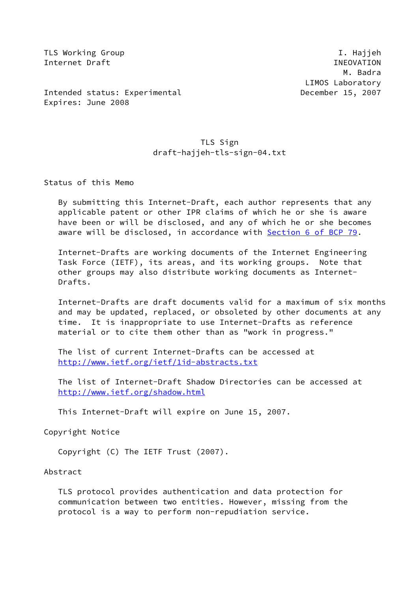TLS Working Group I. Hajjeh Internet Draft **INEOVATION** 

 M. Badra LIMOS Laboratory

Intended status: Experimental December 15, 2007 Expires: June 2008

## TLS Sign draft-hajjeh-tls-sign-04.txt

Status of this Memo

 By submitting this Internet-Draft, each author represents that any applicable patent or other IPR claims of which he or she is aware have been or will be disclosed, and any of which he or she becomes aware will be disclosed, in accordance with Section [6 of BCP 79.](https://datatracker.ietf.org/doc/pdf/bcp79#section-6)

 Internet-Drafts are working documents of the Internet Engineering Task Force (IETF), its areas, and its working groups. Note that other groups may also distribute working documents as Internet- Drafts.

 Internet-Drafts are draft documents valid for a maximum of six months and may be updated, replaced, or obsoleted by other documents at any time. It is inappropriate to use Internet-Drafts as reference material or to cite them other than as "work in progress."

 The list of current Internet-Drafts can be accessed at <http://www.ietf.org/ietf/1id-abstracts.txt>

 The list of Internet-Draft Shadow Directories can be accessed at <http://www.ietf.org/shadow.html>

This Internet-Draft will expire on June 15, 2007.

Copyright Notice

Copyright (C) The IETF Trust (2007).

Abstract

 TLS protocol provides authentication and data protection for communication between two entities. However, missing from the protocol is a way to perform non-repudiation service.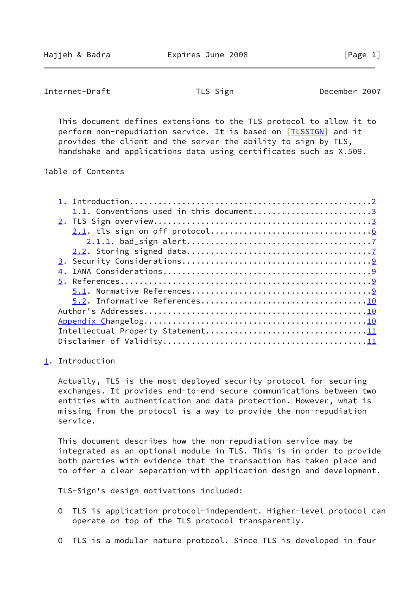```
Internet-Draft TLS Sign TLS December 2007
```
 This document defines extensions to the TLS protocol to allow it to perform non-repudiation service. It is based on [\[TLSSIGN](#page-10-0)] and it provides the client and the server the ability to sign by TLS, handshake and applications data using certificates such as X.509.

Table of Contents

| 1.1. Conventions used in this document3 |  |
|-----------------------------------------|--|
|                                         |  |
|                                         |  |
|                                         |  |
|                                         |  |
|                                         |  |
|                                         |  |
|                                         |  |
|                                         |  |
|                                         |  |
|                                         |  |
|                                         |  |
|                                         |  |
|                                         |  |
|                                         |  |

<span id="page-1-0"></span>[1](#page-1-0). Introduction

 Actually, TLS is the most deployed security protocol for securing exchanges. It provides end-to-end secure communications between two entities with authentication and data protection. However, what is missing from the protocol is a way to provide the non-repudiation service.

 This document describes how the non-repudiation service may be integrated as an optional module in TLS. This is in order to provide both parties with evidence that the transaction has taken place and to offer a clear separation with application design and development.

TLS-Sign's design motivations included:

- O TLS is application protocol-independent. Higher-level protocol can operate on top of the TLS protocol transparently.
- O TLS is a modular nature protocol. Since TLS is developed in four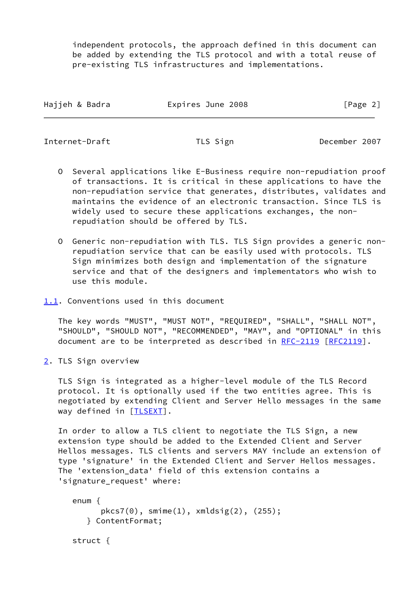independent protocols, the approach defined in this document can be added by extending the TLS protocol and with a total reuse of pre-existing TLS infrastructures and implementations.

| Hajjeh & Badra | Expires June 2008 | [Page 2] |
|----------------|-------------------|----------|
|                |                   |          |

<span id="page-2-1"></span>Internet-Draft TLS Sign December 2007

- O Several applications like E-Business require non-repudiation proof of transactions. It is critical in these applications to have the non-repudiation service that generates, distributes, validates and maintains the evidence of an electronic transaction. Since TLS is widely used to secure these applications exchanges, the non repudiation should be offered by TLS.
- O Generic non-repudiation with TLS. TLS Sign provides a generic non repudiation service that can be easily used with protocols. TLS Sign minimizes both design and implementation of the signature service and that of the designers and implementators who wish to use this module.
- <span id="page-2-0"></span>[1.1](#page-2-0). Conventions used in this document

 The key words "MUST", "MUST NOT", "REQUIRED", "SHALL", "SHALL NOT", "SHOULD", "SHOULD NOT", "RECOMMENDED", "MAY", and "OPTIONAL" in this document are to be interpreted as described in [RFC-2119 \[RFC2119](https://datatracker.ietf.org/doc/pdf/rfc2119)].

<span id="page-2-2"></span>[2](#page-2-2). TLS Sign overview

struct {

 TLS Sign is integrated as a higher-level module of the TLS Record protocol. It is optionally used if the two entities agree. This is negotiated by extending Client and Server Hello messages in the same way defined in [\[TLSEXT](#page-9-5)].

 In order to allow a TLS client to negotiate the TLS Sign, a new extension type should be added to the Extended Client and Server Hellos messages. TLS clients and servers MAY include an extension of type 'signature' in the Extended Client and Server Hellos messages. The 'extension\_data' field of this extension contains a 'signature\_request' where:

```
 enum {
      pkcs7(0), smime(1), xmldsig(2), (255);
   } ContentFormat;
```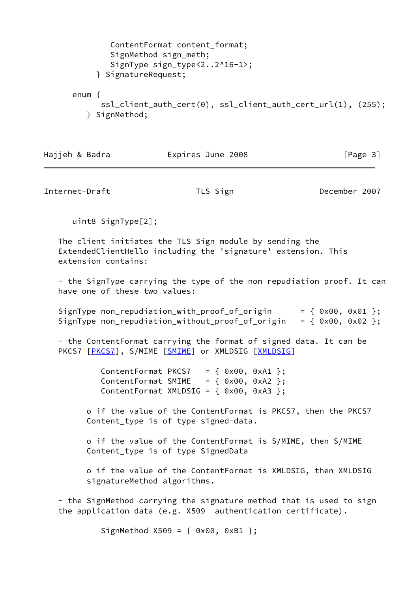```
 ContentFormat content_format;
        SignMethod sign_meth;
       SignType sign type<2..2^16-1>;
     } SignatureRequest;
enum {
     ssl client auth cert(0), ssl client auth cert url(1), (255);
   } SignMethod;
```

|                | Expires June 2008 |          |
|----------------|-------------------|----------|
| Hajjeh & Badra |                   | [Page 3] |

Internet-Draft TLS Sign December 2007

uint8 SignType[2];

 The client initiates the TLS Sign module by sending the ExtendedClientHello including the 'signature' extension. This extension contains:

 - the SignType carrying the type of the non repudiation proof. It can have one of these two values:

SignType non\_repudiation\_with\_proof\_of\_origin =  $\{ 0x00, 0x01 \};$ SignType non\_repudiation\_without\_proof\_of\_origin =  $\{ 0x00, 0x02 \}$ ;

 - the ContentFormat carrying the format of signed data. It can be PKCS7 [[PKCS7\]](#page-10-3), S/MIME [[SMIME\]](#page-10-4) or XMLDSIG [\[XMLDSIG](#page-10-5)]

> ContentFormat PKCS7 =  $\{ 0x00, 0xA1 \};$ ContentFormat SMIME =  $\{ 0x00, 0xA2 \}$ ; ContentFormat XMLDSIG =  $\{ 0x00, 0xA3 \}$ ;

 o if the value of the ContentFormat is PKCS7, then the PKCS7 Content\_type is of type signed-data.

 o if the value of the ContentFormat is S/MIME, then S/MIME Content\_type is of type SignedData

 o if the value of the ContentFormat is XMLDSIG, then XMLDSIG signatureMethod algorithms.

 - the SignMethod carrying the signature method that is used to sign the application data (e.g. X509 authentication certificate).

SignMethod X509 = { 0x00, 0xB1 };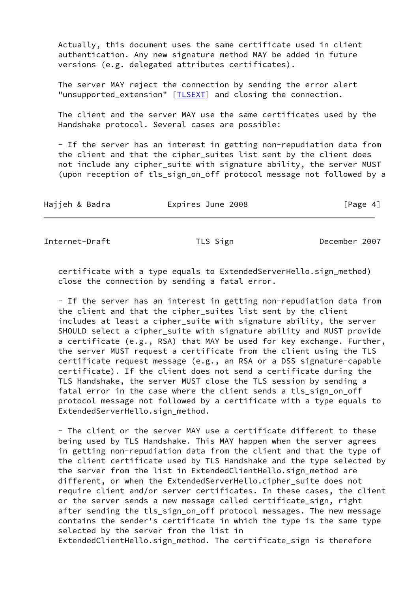Actually, this document uses the same certificate used in client authentication. Any new signature method MAY be added in future versions (e.g. delegated attributes certificates).

 The server MAY reject the connection by sending the error alert "unsupported\_extension" [*TLSEXT*] and closing the connection.

 The client and the server MAY use the same certificates used by the Handshake protocol. Several cases are possible:

 - If the server has an interest in getting non-repudiation data from the client and that the cipher\_suites list sent by the client does not include any cipher\_suite with signature ability, the server MUST (upon reception of tls\_sign\_on\_off protocol message not followed by a

| Hajjeh & Badra | Expires June 2008 | [Page 4] |
|----------------|-------------------|----------|
|----------------|-------------------|----------|

Internet-Draft TLS Sign TLS Sign December 2007

 certificate with a type equals to ExtendedServerHello.sign\_method) close the connection by sending a fatal error.

 - If the server has an interest in getting non-repudiation data from the client and that the cipher\_suites list sent by the client includes at least a cipher\_suite with signature ability, the server SHOULD select a cipher suite with signature ability and MUST provide a certificate (e.g., RSA) that MAY be used for key exchange. Further, the server MUST request a certificate from the client using the TLS certificate request message (e.g., an RSA or a DSS signature-capable certificate). If the client does not send a certificate during the TLS Handshake, the server MUST close the TLS session by sending a fatal error in the case where the client sends a tls\_sign\_on\_off protocol message not followed by a certificate with a type equals to ExtendedServerHello.sign\_method.

 - The client or the server MAY use a certificate different to these being used by TLS Handshake. This MAY happen when the server agrees in getting non-repudiation data from the client and that the type of the client certificate used by TLS Handshake and the type selected by the server from the list in ExtendedClientHello.sign\_method are different, or when the ExtendedServerHello.cipher\_suite does not require client and/or server certificates. In these cases, the client or the server sends a new message called certificate\_sign, right after sending the tls\_sign\_on\_off protocol messages. The new message contains the sender's certificate in which the type is the same type selected by the server from the list in ExtendedClientHello.sign\_method. The certificate\_sign is therefore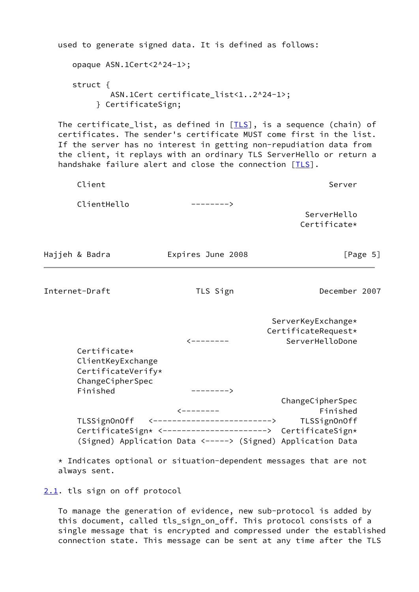| used to generate signed data. It is defined as follows:                                                                                                                                                                                                                                                                                               |                                                                                                                                                                                                      |                                                              |
|-------------------------------------------------------------------------------------------------------------------------------------------------------------------------------------------------------------------------------------------------------------------------------------------------------------------------------------------------------|------------------------------------------------------------------------------------------------------------------------------------------------------------------------------------------------------|--------------------------------------------------------------|
| opaque ASN.1Cert<2^24-1>;                                                                                                                                                                                                                                                                                                                             |                                                                                                                                                                                                      |                                                              |
| struct $\{$<br>} CertificateSign;                                                                                                                                                                                                                                                                                                                     | ASN.1Cert certificate_list<12^24-1>;                                                                                                                                                                 |                                                              |
| The certificate_list, as defined in $[ILS]$ , is a sequence (chain) of<br>certificates. The sender's certificate MUST come first in the list.<br>If the server has no interest in getting non-repudiation data from<br>the client, it replays with an ordinary TLS ServerHello or return a<br>handshake failure alert and close the connection [TLS]. |                                                                                                                                                                                                      |                                                              |
| Client                                                                                                                                                                                                                                                                                                                                                |                                                                                                                                                                                                      | Server                                                       |
| ClientHello                                                                                                                                                                                                                                                                                                                                           | $--------$                                                                                                                                                                                           | ServerHello<br>Certificate*                                  |
| Hajjeh & Badra                                                                                                                                                                                                                                                                                                                                        | Expires June 2008                                                                                                                                                                                    | [Page 5]                                                     |
| Internet-Draft                                                                                                                                                                                                                                                                                                                                        | TLS Sign                                                                                                                                                                                             | December 2007                                                |
| Certificate*<br>ClientKeyExchange<br>CertificateVerify*<br>ChangeCipherSpec                                                                                                                                                                                                                                                                           |                                                                                                                                                                                                      | ServerKeyExchange*<br>CertificateRequest*<br>ServerHelloDone |
| Finished<br>TLSSign0n0ff<br>* Indicates optional or situation-dependent messages that are not                                                                                                                                                                                                                                                         | $------>$<br>$\leftarrow$ - - - - - - -<br>〈---------------------------><br>CertificateSign* <---------------------> CertificateSign*<br>(Signed) Application Data <-----> (Signed) Application Data | ChangeCipherSpec<br>Finished<br>TLSSignOnOff                 |
| always sent.                                                                                                                                                                                                                                                                                                                                          |                                                                                                                                                                                                      |                                                              |

<span id="page-5-1"></span><span id="page-5-0"></span>[2.1](#page-5-0). tls sign on off protocol

 To manage the generation of evidence, new sub-protocol is added by this document, called tls\_sign\_on\_off. This protocol consists of a single message that is encrypted and compressed under the established connection state. This message can be sent at any time after the TLS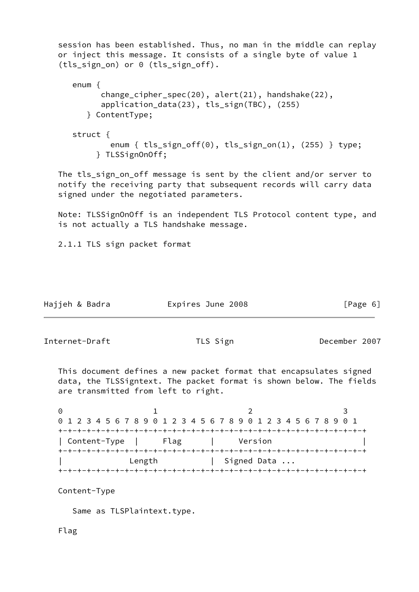session has been established. Thus, no man in the middle can replay or inject this message. It consists of a single byte of value 1 (tls\_sign\_on) or 0 (tls\_sign\_off). enum { change\_cipher\_spec(20), alert(21), handshake(22), application data(23), tls sign(TBC), (255) } ContentType; struct { enum { tls\_sign\_off(0), tls\_sign\_on(1), (255) } type; } TLSSignOnOff; The tls\_sign\_on\_off message is sent by the client and/or server to notify the receiving party that subsequent records will carry data signed under the negotiated parameters. Note: TLSSignOnOff is an independent TLS Protocol content type, and is not actually a TLS handshake message. 2.1.1 TLS sign packet format Hajjeh & Badra Expires June 2008 [Page 6] Internet-Draft TLS Sign December 2007

<span id="page-6-0"></span> This document defines a new packet format that encapsulates signed data, the TLSSigntext. The packet format is shown below. The fields are transmitted from left to right.

0 1 2 3 0 1 2 3 4 5 6 7 8 9 0 1 2 3 4 5 6 7 8 9 0 1 2 3 4 5 6 7 8 9 0 1 +-+-+-+-+-+-+-+-+-+-+-+-+-+-+-+-+-+-+-+-+-+-+-+-+-+-+-+-+-+-+-+-+ | Content-Type | Flag | Version | +-+-+-+-+-+-+-+-+-+-+-+-+-+-+-+-+-+-+-+-+-+-+-+-+-+-+-+-+-+-+-+-+ Length | Signed Data ... +-+-+-+-+-+-+-+-+-+-+-+-+-+-+-+-+-+-+-+-+-+-+-+-+-+-+-+-+-+-+-+-+

Content-Type

Same as TLSPlaintext.type.

Flag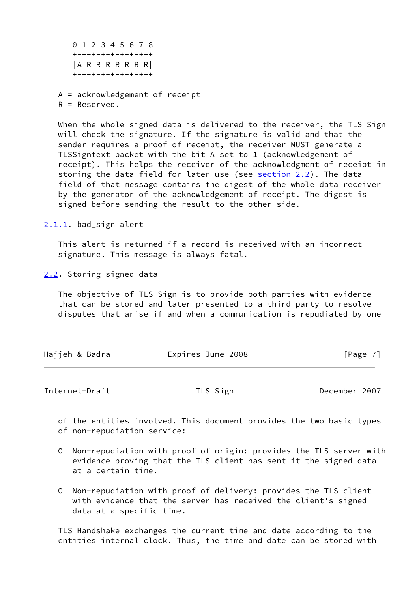0 1 2 3 4 5 6 7 8 +-+-+-+-+-+-+-+-+ |A R R R R R R R| +-+-+-+-+-+-+-+-+

 A = acknowledgement of receipt R = Reserved.

When the whole signed data is delivered to the receiver, the TLS Sign will check the signature. If the signature is valid and that the sender requires a proof of receipt, the receiver MUST generate a TLSSigntext packet with the bit A set to 1 (acknowledgement of receipt). This helps the receiver of the acknowledgment of receipt in storing the data-field for later use (see [section 2.2](#page-7-1)). The data field of that message contains the digest of the whole data receiver by the generator of the acknowledgement of receipt. The digest is signed before sending the result to the other side.

<span id="page-7-0"></span>[2.1.1](#page-7-0). bad sign alert

 This alert is returned if a record is received with an incorrect signature. This message is always fatal.

<span id="page-7-1"></span>[2.2](#page-7-1). Storing signed data

 The objective of TLS Sign is to provide both parties with evidence that can be stored and later presented to a third party to resolve disputes that arise if and when a communication is repudiated by one

| Hajjeh & Badra | Expires June 2008 | [Page 7] |
|----------------|-------------------|----------|
|                |                   |          |

Internet-Draft TLS Sign TLS Sign December 2007

 of the entities involved. This document provides the two basic types of non-repudiation service:

- O Non-repudiation with proof of origin: provides the TLS server with evidence proving that the TLS client has sent it the signed data at a certain time.
- O Non-repudiation with proof of delivery: provides the TLS client with evidence that the server has received the client's signed data at a specific time.

 TLS Handshake exchanges the current time and date according to the entities internal clock. Thus, the time and date can be stored with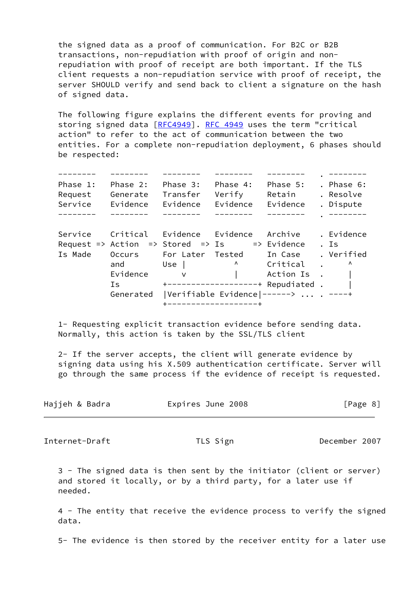the signed data as a proof of communication. For B2C or B2B transactions, non-repudiation with proof of origin and non repudiation with proof of receipt are both important. If the TLS client requests a non-repudiation service with proof of receipt, the server SHOULD verify and send back to client a signature on the hash of signed data.

 The following figure explains the different events for proving and storing signed data [\[RFC4949](https://datatracker.ietf.org/doc/pdf/rfc4949)]. [RFC 4949](https://datatracker.ietf.org/doc/pdf/rfc4949) uses the term "critical action" to refer to the act of communication between the two entities. For a complete non-repudiation deployment, 6 phases should be respected:

 -------- -------- -------- -------- -------- . -------- Phase 1: Phase 2: Phase 3: Phase 4: Phase 5: . Phase 6: Request Generate Transfer Verify Retain . Resolve Service Evidence Evidence Evidence Evidence . Dispute -------- -------- -------- -------- -------- . -------- Service Critical Evidence Evidence Archive . Evidence Request => Action => Stored => Is => Evidence . Is Is Made Occurs For Later Tested In Case . Verified and Use |  $\wedge$  Critical . ^ Evidence v | Action Is . | Is  $+$ --------------------+ Repudiated . | Generated |Verifiable Evidence|------> ... . ----+ +-------------------+

 1- Requesting explicit transaction evidence before sending data. Normally, this action is taken by the SSL/TLS client

 2- If the server accepts, the client will generate evidence by signing data using his X.509 authentication certificate. Server will go through the same process if the evidence of receipt is requested.

| Hajjeh & Badra | Expires June 2008 | [Page 8] |  |
|----------------|-------------------|----------|--|
|                |                   |          |  |

<span id="page-8-0"></span>Internet-Draft TLS Sign TLS Sign December 2007

 3 - The signed data is then sent by the initiator (client or server) and stored it locally, or by a third party, for a later use if needed.

 4 - The entity that receive the evidence process to verify the signed data.

5- The evidence is then stored by the receiver entity for a later use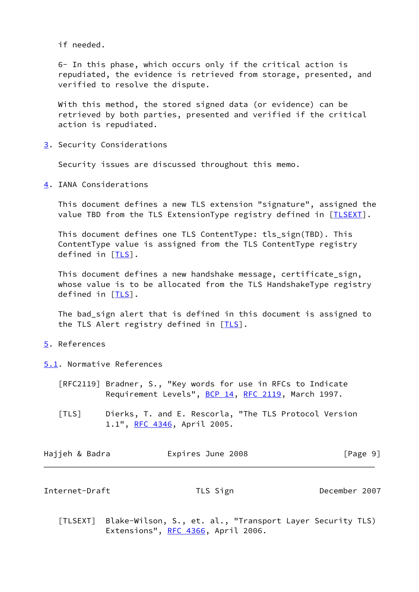if needed.

 6- In this phase, which occurs only if the critical action is repudiated, the evidence is retrieved from storage, presented, and verified to resolve the dispute.

 With this method, the stored signed data (or evidence) can be retrieved by both parties, presented and verified if the critical action is repudiated.

<span id="page-9-0"></span>[3](#page-9-0). Security Considerations

Security issues are discussed throughout this memo.

<span id="page-9-1"></span>[4](#page-9-1). IANA Considerations

 This document defines a new TLS extension "signature", assigned the value TBD from the TLS ExtensionType registry defined in [\[TLSEXT](#page-9-5)].

 This document defines one TLS ContentType: tls\_sign(TBD). This ContentType value is assigned from the TLS ContentType registry defined in  $[TLS]$  $[TLS]$ .

 This document defines a new handshake message, certificate\_sign, whose value is to be allocated from the TLS HandshakeType registry defined in [[TLS\]](#page-9-6).

 The bad\_sign alert that is defined in this document is assigned to the [TLS](#page-9-6) Alert registry defined in  $[TLS]$ .

- <span id="page-9-2"></span>[5](#page-9-2). References
- <span id="page-9-3"></span>[5.1](#page-9-3). Normative References
	- [RFC2119] Bradner, S., "Key words for use in RFCs to Indicate Requirement Levels", [BCP 14](https://datatracker.ietf.org/doc/pdf/bcp14), [RFC 2119,](https://datatracker.ietf.org/doc/pdf/rfc2119) March 1997.
	- [TLS] Dierks, T. and E. Rescorla, "The TLS Protocol Version 1.1", [RFC 4346](https://datatracker.ietf.org/doc/pdf/rfc4346), April 2005.

<span id="page-9-6"></span>

| Hajjeh & Badra | Expires June 2008 | [Page 9] |
|----------------|-------------------|----------|
|                |                   |          |

<span id="page-9-4"></span>Internet-Draft TLS Sign December 2007

<span id="page-9-5"></span> [TLSEXT] Blake-Wilson, S., et. al., "Transport Layer Security TLS) Extensions", [RFC 4366,](https://datatracker.ietf.org/doc/pdf/rfc4366) April 2006.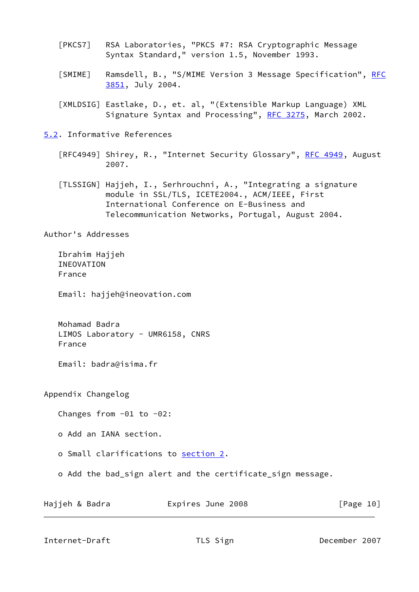- <span id="page-10-3"></span> [PKCS7] RSA Laboratories, "PKCS #7: RSA Cryptographic Message Syntax Standard," version 1.5, November 1993.
- <span id="page-10-4"></span>[SMIME] Ramsdell, B., "S/MIME Version 3 Message Specification", [RFC](https://datatracker.ietf.org/doc/pdf/rfc3851) [3851](https://datatracker.ietf.org/doc/pdf/rfc3851), July 2004.
- <span id="page-10-5"></span> [XMLDSIG] Eastlake, D., et. al, "(Extensible Markup Language) XML Signature Syntax and Processing", [RFC 3275,](https://datatracker.ietf.org/doc/pdf/rfc3275) March 2002.
- <span id="page-10-1"></span><span id="page-10-0"></span>[5.2](#page-10-1). Informative References
	- [RFC4949] Shirey, R., "Internet Security Glossary", [RFC 4949,](https://datatracker.ietf.org/doc/pdf/rfc4949) August 2007.
	- [TLSSIGN] Hajjeh, I., Serhrouchni, A., "Integrating a signature module in SSL/TLS, ICETE2004., ACM/IEEE, First International Conference on E-Business and Telecommunication Networks, Portugal, August 2004.

Author's Addresses

 Ibrahim Hajjeh INEOVATION France

Email: hajjeh@ineovation.com

 Mohamad Badra LIMOS Laboratory - UMR6158, CNRS France

Email: badra@isima.fr

Appendix Changelog

Changes from -01 to -02:

o Add an IANA section.

o Small clarifications to [section 2.](#page-2-2)

o Add the bad\_sign alert and the certificate\_sign message.

| Hajjeh & Badra | Expires June 2008 | [Page 10] |
|----------------|-------------------|-----------|
|----------------|-------------------|-----------|

<span id="page-10-2"></span>Internet-Draft TLS Sign TLS December 2007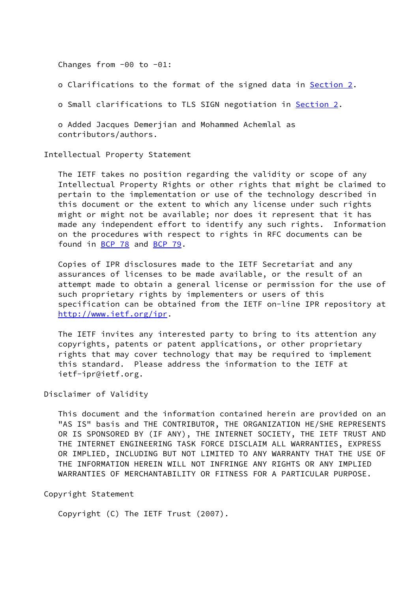Changes from -00 to -01:

o Clarifications to the format of the signed data in [Section 2](#page-2-2).

o Small clarifications to TLS SIGN negotiation in [Section 2.](#page-2-2)

 o Added Jacques Demerjian and Mohammed Achemlal as contributors/authors.

Intellectual Property Statement

 The IETF takes no position regarding the validity or scope of any Intellectual Property Rights or other rights that might be claimed to pertain to the implementation or use of the technology described in this document or the extent to which any license under such rights might or might not be available; nor does it represent that it has made any independent effort to identify any such rights. Information on the procedures with respect to rights in RFC documents can be found in [BCP 78](https://datatracker.ietf.org/doc/pdf/bcp78) and [BCP 79](https://datatracker.ietf.org/doc/pdf/bcp79).

 Copies of IPR disclosures made to the IETF Secretariat and any assurances of licenses to be made available, or the result of an attempt made to obtain a general license or permission for the use of such proprietary rights by implementers or users of this specification can be obtained from the IETF on-line IPR repository at <http://www.ietf.org/ipr>.

 The IETF invites any interested party to bring to its attention any copyrights, patents or patent applications, or other proprietary rights that may cover technology that may be required to implement this standard. Please address the information to the IETF at ietf-ipr@ietf.org.

## Disclaimer of Validity

 This document and the information contained herein are provided on an "AS IS" basis and THE CONTRIBUTOR, THE ORGANIZATION HE/SHE REPRESENTS OR IS SPONSORED BY (IF ANY), THE INTERNET SOCIETY, THE IETF TRUST AND THE INTERNET ENGINEERING TASK FORCE DISCLAIM ALL WARRANTIES, EXPRESS OR IMPLIED, INCLUDING BUT NOT LIMITED TO ANY WARRANTY THAT THE USE OF THE INFORMATION HEREIN WILL NOT INFRINGE ANY RIGHTS OR ANY IMPLIED WARRANTIES OF MERCHANTABILITY OR FITNESS FOR A PARTICULAR PURPOSE.

Copyright Statement

Copyright (C) The IETF Trust (2007).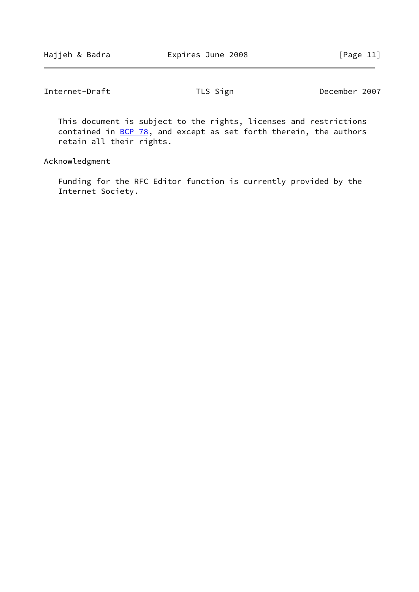| Internet-Draft | TLS Sign | December 2007 |
|----------------|----------|---------------|
|----------------|----------|---------------|

 This document is subject to the rights, licenses and restrictions contained in  $\underline{BCP}$  78, and except as set forth therein, the authors retain all their rights.

Acknowledgment

 Funding for the RFC Editor function is currently provided by the Internet Society.